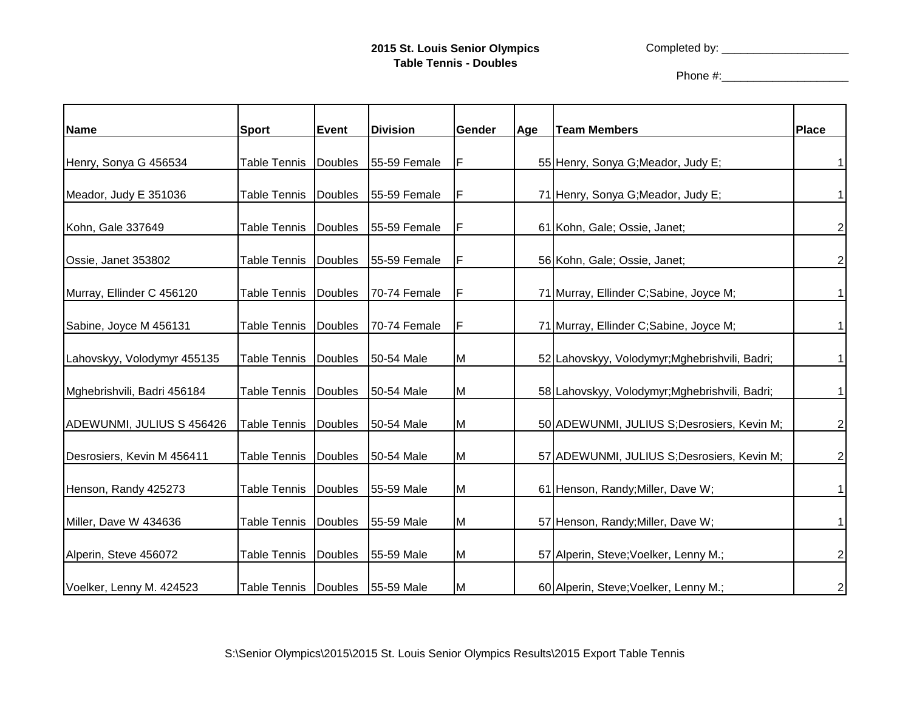Completed by: \_\_\_\_\_\_\_\_\_\_\_\_\_\_\_\_\_\_\_\_

Phone #:\_\_\_\_\_\_\_\_\_\_\_\_\_\_\_\_\_\_\_\_

| <b>Name</b>                 | <b>Sport</b>         | <b>Event</b>   | <b>Division</b> | Gender | Age | <b>Team Members</b>                            | <b>Place</b>   |
|-----------------------------|----------------------|----------------|-----------------|--------|-----|------------------------------------------------|----------------|
|                             |                      |                |                 |        |     |                                                |                |
| Henry, Sonya G 456534       | <b>Table Tennis</b>  | <b>Doubles</b> | 55-59 Female    | F      |     | 55 Henry, Sonya G; Meador, Judy E;             |                |
| Meador, Judy E 351036       | Table Tennis         | Doubles        | 55-59 Female    | F      |     | 71 Henry, Sonya G; Meador, Judy E;             |                |
| Kohn, Gale 337649           | <b>Table Tennis</b>  | <b>Doubles</b> | 55-59 Female    | F      |     | 61 Kohn, Gale; Ossie, Janet;                   | $\overline{a}$ |
| Ossie, Janet 353802         | <b>Table Tennis</b>  | <b>Doubles</b> | 55-59 Female    | F      |     | 56 Kohn, Gale; Ossie, Janet;                   | $\overline{a}$ |
| Murray, Ellinder C 456120   | <b>Table Tennis</b>  | <b>Doubles</b> | 70-74 Female    | F      |     | 71 Murray, Ellinder C; Sabine, Joyce M;        |                |
| Sabine, Joyce M 456131      | <b>Table Tennis</b>  | <b>Doubles</b> | 70-74 Female    | F      |     | 71 Murray, Ellinder C; Sabine, Joyce M;        |                |
| Lahovskyy, Volodymyr 455135 | Table Tennis         | Doubles        | 50-54 Male      | M      |     | 52 Lahovskyy, Volodymyr; Mghebrishvili, Badri; |                |
| Mghebrishvili, Badri 456184 | <b>Table Tennis</b>  | Doubles        | 50-54 Male      | M      |     | 58 Lahovskyy, Volodymyr; Mghebrishvili, Badri; |                |
| ADEWUNMI, JULIUS S 456426   | <b>Table Tennis</b>  | <b>Doubles</b> | 50-54 Male      | M      |     | 50 ADEWUNMI, JULIUS S; Desrosiers, Kevin M;    | $\overline{a}$ |
| Desrosiers, Kevin M 456411  | <b>Table Tennis</b>  | <b>Doubles</b> | 50-54 Male      | M      |     | 57 ADEWUNMI, JULIUS S; Desrosiers, Kevin M;    | $\overline{a}$ |
| Henson, Randy 425273        | <b>Table Tennis</b>  | Doubles        | 55-59 Male      | M      |     | 61 Henson, Randy; Miller, Dave W;              |                |
| Miller, Dave W 434636       | <b>Table Tennis</b>  | <b>Doubles</b> | 55-59 Male      | M      |     | 57 Henson, Randy; Miller, Dave W;              |                |
| Alperin, Steve 456072       | <b>Table Tennis</b>  | Doubles        | 55-59 Male      | M      |     | 57 Alperin, Steve; Voelker, Lenny M.;          | 2              |
| Voelker, Lenny M. 424523    | Table Tennis Doubles |                | 55-59 Male      | M      |     | 60 Alperin, Steve; Voelker, Lenny M.;          | $\mathbf{2}$   |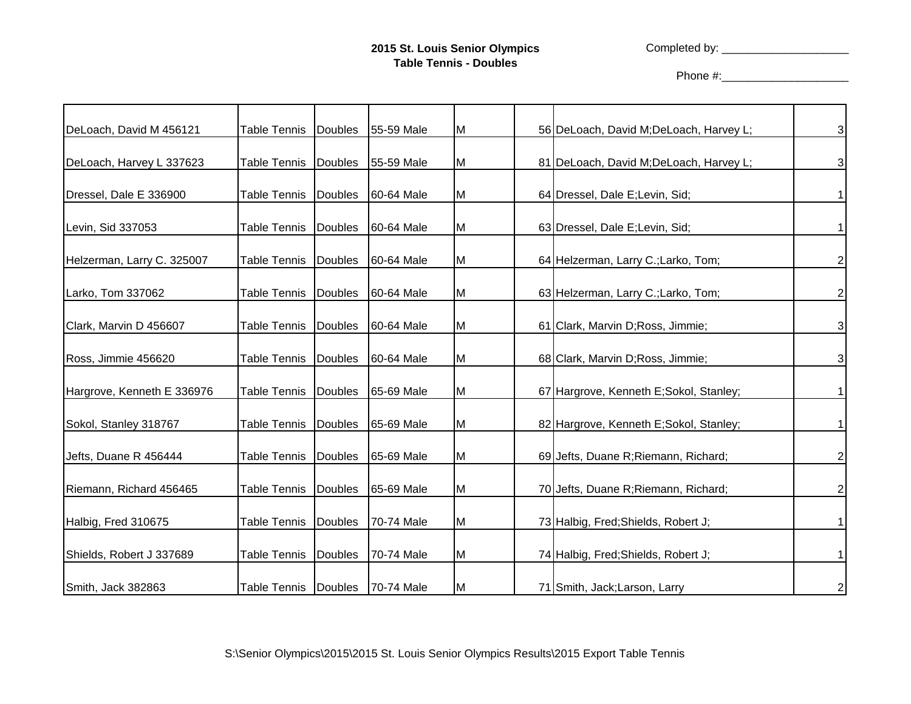Completed by: \_\_\_\_\_\_\_\_\_\_\_\_\_\_\_\_\_\_\_\_

Phone #:\_\_\_\_\_\_\_\_\_\_\_\_\_\_\_\_\_\_\_\_

| DeLoach, David M 456121    | <b>Table Tennis</b>  | <b>Doubles</b> | 55-59 Male | M | 56 DeLoach, David M; DeLoach, Harvey L; | 3              |
|----------------------------|----------------------|----------------|------------|---|-----------------------------------------|----------------|
| DeLoach, Harvey L 337623   | Table Tennis         | Doubles        | 55-59 Male | M | 81 DeLoach, David M; DeLoach, Harvey L; | 3              |
| Dressel, Dale E 336900     | Table Tennis         | Doubles        | 60-64 Male | M | 64 Dressel, Dale E; Levin, Sid;         |                |
| Levin, Sid 337053          | Table Tennis         | <b>Doubles</b> | 60-64 Male | M | 63 Dressel, Dale E; Levin, Sid;         |                |
| Helzerman, Larry C. 325007 | <b>Table Tennis</b>  | <b>Doubles</b> | 60-64 Male | M | 64 Helzerman, Larry C.; Larko, Tom;     | 2              |
| Larko, Tom 337062          | <b>Table Tennis</b>  | <b>Doubles</b> | 60-64 Male | M | 63 Helzerman, Larry C.; Larko, Tom;     | 2              |
| Clark, Marvin D 456607     | <b>Table Tennis</b>  | <b>Doubles</b> | 60-64 Male | M | 61 Clark, Marvin D; Ross, Jimmie;       | 3              |
| Ross, Jimmie 456620        | <b>Table Tennis</b>  | <b>Doubles</b> | 60-64 Male | M | 68 Clark, Marvin D; Ross, Jimmie;       | 3              |
| Hargrove, Kenneth E 336976 | <b>Table Tennis</b>  | <b>Doubles</b> | 65-69 Male | M | 67 Hargrove, Kenneth E;Sokol, Stanley;  |                |
| Sokol, Stanley 318767      | Table Tennis         | Doubles        | 65-69 Male | M | 82 Hargrove, Kenneth E;Sokol, Stanley;  |                |
| Jefts, Duane R 456444      | <b>Table Tennis</b>  | <b>Doubles</b> | 65-69 Male | M | 69 Jefts, Duane R; Riemann, Richard;    | $\overline{c}$ |
| Riemann, Richard 456465    | <b>Table Tennis</b>  | <b>Doubles</b> | 65-69 Male | M | 70 Jefts, Duane R; Riemann, Richard;    | 2              |
| Halbig, Fred 310675        | Table Tennis         | <b>Doubles</b> | 70-74 Male | M | 73 Halbig, Fred; Shields, Robert J;     |                |
| Shields, Robert J 337689   | <b>Table Tennis</b>  | <b>Doubles</b> | 70-74 Male | M | 74 Halbig, Fred; Shields, Robert J;     |                |
| Smith, Jack 382863         | Table Tennis Doubles |                | 70-74 Male | M | 71 Smith, Jack; Larson, Larry           | $\mathbf{2}$   |